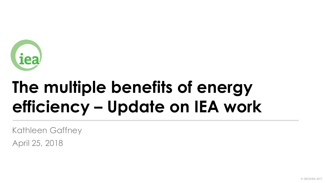

# **The multiple benefits of energy efficiency – Update on IEA work**

Kathleen Gaffney

April 25, 2018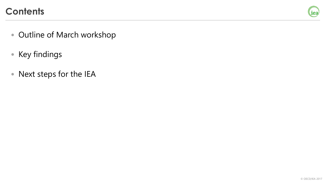#### **Contents**



- Outline of March workshop
- Key findings
- Next steps for the IEA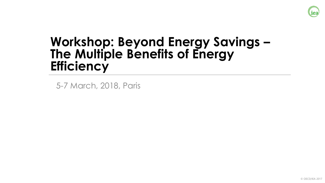

# **Workshop: Beyond Energy Savings – The Multiple Benefits of Energy Efficiency**

5-7 March, 2018, Paris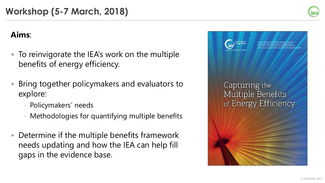#### **Aims**:

- To reinvigorate the IEA's work on the multiple benefits of energy efficiency.
- Bring together policymakers and evaluators to explore:
	- Policymakers' needs
	- Methodologies for quantifying multiple benefits
- Determine if the multiple benefits framework needs updating and how the IEA can help fill gaps in the evidence base.



iea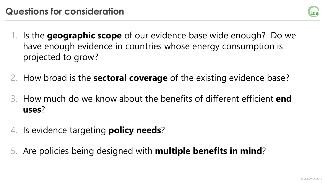

- 1. Is the **geographic scope** of our evidence base wide enough? Do we have enough evidence in countries whose energy consumption is projected to grow?
- 2. How broad is the **sectoral coverage** of the existing evidence base?
- 3. How much do we know about the benefits of different efficient **end uses**?
- 4. Is evidence targeting **policy needs**?
- 5. Are policies being designed with **multiple benefits in mind**?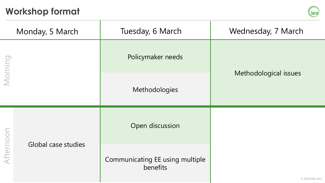### **Workshop format**



|           | Monday, 5 March     | Tuesday, 6 March                            | Wednesday, 7 March    |
|-----------|---------------------|---------------------------------------------|-----------------------|
| Morning   |                     | Policymaker needs                           | Methodological issues |
|           |                     | Methodologies                               |                       |
| Afternoon | Global case studies | Open discussion                             |                       |
|           |                     | Communicating EE using multiple<br>benefits | © OECD/IEA 2017       |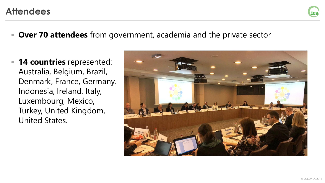#### **Attendees**

- **Over 70 attendees** from government, academia and the private sector
- **14 countries** represented: Australia, Belgium, Brazil, Denmark, France, Germany, Indonesia, Ireland, Italy, Luxembourg, Mexico, Turkey, United Kingdom, United States.



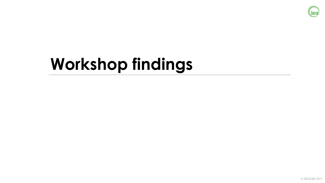

# **Workshop findings**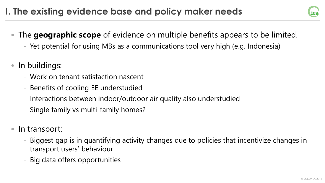- iea
- The **geographic scope** of evidence on multiple benefits appears to be limited.
	- Yet potential for using MBs as a communications tool very high (e.g. Indonesia)
- In buildings:
	- Work on tenant satisfaction nascent
	- Benefits of cooling EE understudied
	- Interactions between indoor/outdoor air quality also understudied
	- Single family vs multi-family homes?
- In transport:
	- Biggest gap is in quantifying activity changes due to policies that incentivize changes in transport users' behaviour
	- Big data offers opportunities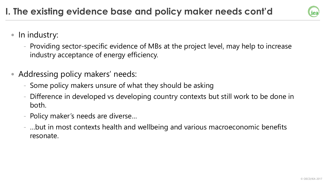

- In industry:
	- Providing sector-specific evidence of MBs at the project level, may help to increase industry acceptance of energy efficiency.
- Addressing policy makers' needs:
	- Some policy makers unsure of what they should be asking
	- Difference in developed vs developing country contexts but still work to be done in both.
	- Policy maker's needs are diverse…
	- …but in most contexts health and wellbeing and various macroeconomic benefits resonate.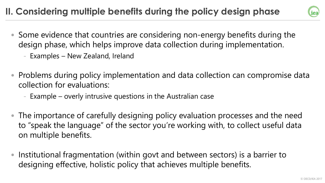## **II. Considering multiple benefits during the policy design phase**



- Some evidence that countries are considering non-energy benefits during the design phase, which helps improve data collection during implementation.
	- Examples New Zealand, Ireland
- Problems during policy implementation and data collection can compromise data collection for evaluations:
	- Example overly intrusive questions in the Australian case
- The importance of carefully designing policy evaluation processes and the need to "speak the language" of the sector you're working with, to collect useful data on multiple benefits.
- Institutional fragmentation (within govt and between sectors) is a barrier to designing effective, holistic policy that achieves multiple benefits.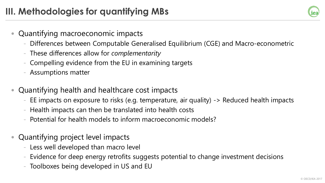iea

- Quantifying macroeconomic impacts
	- Differences between Computable Generalised Equilibrium (CGE) and Macro-econometric
	- These differences allow for *complementarity*
	- Compelling evidence from the EU in examining targets
	- Assumptions matter
- Quantifying health and healthcare cost impacts
	- EE impacts on exposure to risks (e.g. temperature, air quality) -> Reduced health impacts
	- Health impacts can then be translated into health costs
	- Potential for health models to inform macroeconomic models?
- Quantifying project level impacts
	- Less well developed than macro level
	- Evidence for deep energy retrofits suggests potential to change investment decisions
	- Toolboxes being developed in US and EU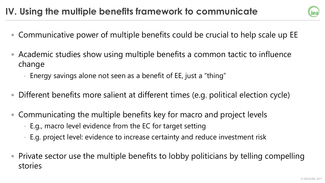### **IV. Using the multiple benefits framework to communicate**

- Communicative power of multiple benefits could be crucial to help scale up EE
- Academic studies show using multiple benefits a common tactic to influence change
	- Energy savings alone not seen as a benefit of EE, just a "thing"
- Different benefits more salient at different times (e.g. political election cycle)
- Communicating the multiple benefits key for macro and project levels
	- E.g., macro level evidence from the EC for target setting
	- E.g. project level: evidence to increase certainty and reduce investment risk
- Private sector use the multiple benefits to lobby politicians by telling compelling stories

iea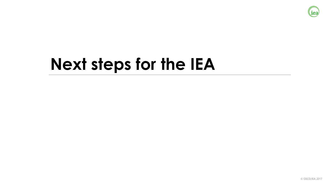

# **Next steps for the IEA**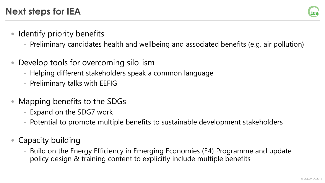

- Identify priority benefits
	- Preliminary candidates health and wellbeing and associated benefits (e.g. air pollution)
- Develop tools for overcoming silo-ism
	- Helping different stakeholders speak a common language
	- Preliminary talks with EEFIG
- Mapping benefits to the SDGs
	- Expand on the SDG7 work
	- Potential to promote multiple benefits to sustainable development stakeholders
- Capacity building
	- Build on the Energy Efficiency in Emerging Economies (E4) Programme and update policy design & training content to explicitly include multiple benefits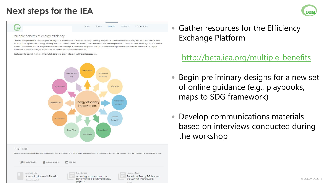#### **Next steps for the IEA**



#### liea

Resources

HOME POLICY **IMPACTS** INSIGHTS COLLABORATE

#### Multiple benefits of energy efficiency

The term "multiple benefits" aims to capture a reality that is often overlooked: investment in energy efficiency can provide many different benefits to many different stakeholders. In other literature, the multiple benefits of energy efficiency have been variously labelled "co-benefits", "ancillary benefits" and "non-energy benefits" - terms often used interchangeably with "multiple benefits". The IEA uses the term multiple benefits, which is broad enough to reflect the heterogeneous nature of outcomes of energy efficiency improvements and to avoid pre-emptive prioritisation of various benefits; different benefits will be of interest to different stakeholders

Use the selector below to learn about the multiple benefits of energy efficiency and find related resources



Browse resources related to this particular impact of energy efficiency from the IEA and other organisations. Note that all links will take you away from the Efficiency Exchange Platform site

**IE** Reports / Books Journal Articles  $\Box$  Websites iournal article Renort / Book Accounting for Health Benefits Benefits of Energy Efficiency on Assessing and measuring the performance of energy efficiency the German Power Sector projects

• Gather resources for the Efficiency Exchange Platform

<http://beta.iea.org/multiple-benefits>

- Begin preliminary designs for a new set of online guidance (e.g., playbooks, maps to SDG framework)
- Develop communications materials based on interviews conducted during the workshop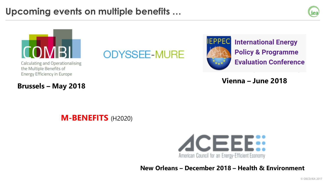### **Upcoming events on multiple benefits …**





Calculating and Operationalising the Multiple Benefits of Energy Efficiency in Europe

**Brussels – May 2018**

# **ODYSSEE-MURE**



**International Energy Policy & Programme Evaluation Conference** 

**Vienna – June 2018**

**M-BENEFITS** (H2020)



**New Orleans – December 2018 – Health & Environment**